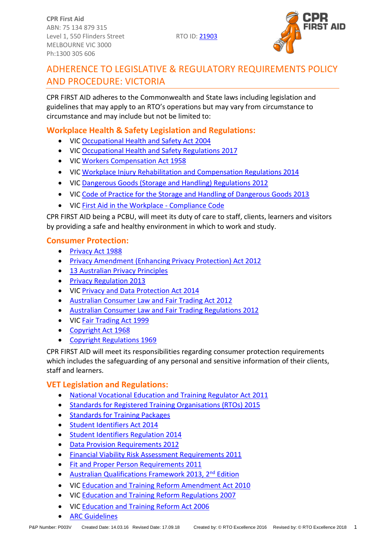

# ADHERENCE TO LEGISLATIVE & REGULATORY REQUIREMENTS POLICY AND PROCEDURE: VICTORIA

CPR FIRST AID adheres to the Commonwealth and State laws including legislation and guidelines that may apply to an RTO's operations but may vary from circumstance to circumstance and may include but not be limited to:

## **Workplace Health & Safety Legislation and Regulations:**

- VIC [Occupational Health and Safety Act 2004](http://www.legislation.vic.gov.au/Domino/Web_Notes/LDMS/PubStatbook.nsf/f932b66241ecf1b7ca256e92000e23be/750e0d9e0b2b387fca256f71001fa7be/$FILE/04-107A.pdf)
- VIC [Occupational Health and Safety Regulations 2017](http://www.legislation.vic.gov.au/Domino/Web_Notes/LDMS/PubStatbook.nsf/93eb987ebadd283dca256e92000e4069/05C39981B52D9E0FCA25810E0021D052/$FILE/17-022sra%20authorised.pdf)
- VIC [Workers Compensation Act 1958](http://www.legislation.vic.gov.au/domino/Web_Notes/LDMS/LTObject_Store/LTObjSt4.nsf/d1a8d8a9bed958efca25761600042ef5/8d9b449d2d035138ca257761002dd9d9/$FILE/58-6419a154.pdf)
- VIC [Workplace Injury Rehabilitation and Compensation Regulations 2014](http://www.legislation.vic.gov.au/Domino/Web_Notes/LDMS/PubStatbook.nsf/93eb987ebadd283dca256e92000e4069/0C1505725056A2D5CA257CE5001B7E17/$FILE/14-041srbookmarked.pdf)
- VIC [Dangerous Goods \(Storage and Handling\) Regulations 2012](http://www.legislation.vic.gov.au/Domino/Web_Notes/LDMS/LTObject_Store/LTObjSt7.nsf/DDE300B846EED9C7CA257616000A3571/DAC649451D831FFCCA257AD70083BA1F/$FILE/12-132sra001%20authorised.pdf)
- VIC [Code of Practice for the Storage and Handling of Dangerous Goods 2013](http://www.worksafe.vic.gov.au/forms-and-publications/forms-and-publications/code-of-practice-for-the-storage-and-handling-of-dangerous-goods-2013)
- VIC [First Aid in the Workplace -](http://www.worksafe.vic.gov.au/forms-and-publications/forms-and-publications/first-aid-in-the-workplace-compliance-code) Compliance Code

CPR FIRST AID being a PCBU, will meet its duty of care to staff, clients, learners and visitors by providing a safe and healthy environment in which to work and study.

### **Consumer Protection:**

- [Privacy Act 1988](https://www.legislation.gov.au/Series/C2004A03712)
- [Privacy Amendment \(Enhancing Privacy Protection\) Act 2012](https://www.legislation.gov.au/Details/C2015C00053)
- 13 [Australian Privacy Principles](http://www.oaic.gov.au/individuals/privacy-fact-sheets/general/privacy-fact-sheet-17-australian-privacy-principles)
- [Privacy Regulation 2013](https://www.legislation.gov.au/Details/F2018C00011)
- VIC [Privacy and Data Protection Act 2014](http://www.legislation.vic.gov.au/Domino/Web_Notes/LDMS/PubLawToday.nsf/e84a08860d8fa942ca25761700261a63/88763562322e7de6ca257f150083a2d7!OpenDocument&Highlight=0,Act)
- [Australian Consumer Law and Fair Trading Act 2012](http://www.legislation.vic.gov.au/Domino/Web_Notes/LDMS/PubStatbook.nsf/f932b66241ecf1b7ca256e92000e23be/a7a06c0b33b7f723ca2579f80018c9f2/$FILE/12-021abookmarked.pdf)
- [Australian Consumer Law and Fair Trading Regulations 2012](http://www.austlii.edu.au/au/legis/vic/consol_reg/aclaftr2012481/notes.html)
- VIC [Fair Trading Act 1999](http://www.legislation.vic.gov.au/Domino/Web_Notes/LDMS/LTObject_Store/LTObjSt6.nsf/DDE300B846EED9C7CA257616000A3571/375D6BFF3C6F6411CA257A2F001011EA/$FILE/99-16a057.pdf)
- [Copyright Act 1968](https://www.legislation.gov.au/Details/C2018C00371)
- [Copyright Regulations 1969](https://www.legislation.gov.au/Details/F2017L01649)

CPR FIRST AID will meet its responsibilities regarding consumer protection requirements which includes the safeguarding of any personal and sensitive information of their clients, staff and learners.

## **VET Legislation and Regulations:**

- [National Vocational Education and Training Regulator Act 2011](https://www.legislation.gov.au/Details/C2017C00245)
- [Standards for Registered Training Organisations \(RTOs\) 2015](https://www.legislation.gov.au/Details/F2017C00663)
- [Standards for Training Packages](https://docs.education.gov.au/system/files/doc/other/standardsfortrainingpackages.pdf)
- [Student Identifiers Act 2014](https://www.legislation.gov.au/Details/C2017C00038)
- [Student Identifiers Regulation 2014](http://www.comlaw.gov.au/Details/F2014L01204)
- [Data Provision Requirements 2012](http://www.comlaw.gov.au/Details/F2013C00497)
- [Financial Viability Risk Assessment Requirements 2011](https://www.legislation.gov.au/Series/F2011L01405)
- [Fit and Proper Person Requirements 2011](https://www.legislation.gov.au/Series/F2011L01341)
- [Australian Qualifications Framework 2013, 2](https://www.aqf.edu.au/aqf-second-edition-january-2013)<sup>nd</sup> Edition
- VIC [Education and Training Reform Amendment Act 2010](http://www.legislation.vic.gov.au/Domino/Web_Notes/LDMS/PubStatbook.nsf/f932b66241ecf1b7ca256e92000e23be/BECA2BE7D57AD060CA25773C00206B70/$FILE/10-027a.pdf)
- VIC [Education and Training Reform Regulations 2007](http://www.vrqa.vic.gov.au/Documents/regulations20070627_1.pdf)
- VIC [Education and Training Reform Act 2006](http://www.legislation.vic.gov.au/Domino/Web_Notes/LDMS/PubStatbook.nsf/f932b66241ecf1b7ca256e92000e23be/575C47EA02890DA4CA25717000217213/$FILE/06-024a.pdf)
- [ARC Guidelines](http://resus.org.au/guidelines/)